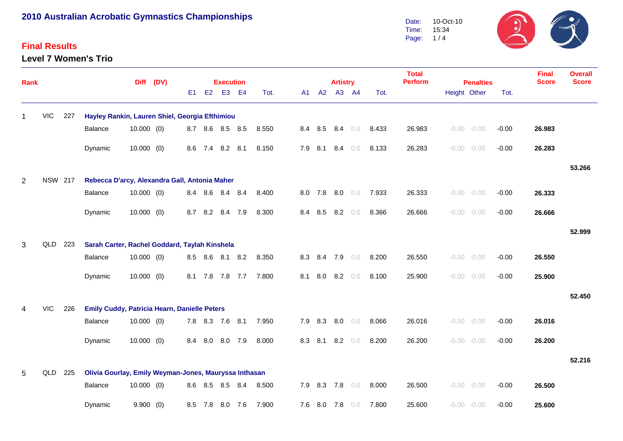#### **Final Results**

**Level 7 Women's Trio**



| Rank           |                |     |                                                       | Diff (DV)    |          |     | <b>Execution</b> |                 |     |       |     |                 | <b>Artistry</b> |                |     | <b>Total</b><br><b>Perform</b> | <b>Penalties</b> |  |                | <b>Final</b><br><b>Score</b> | <b>Overall</b><br><b>Score</b> |        |
|----------------|----------------|-----|-------------------------------------------------------|--------------|----------|-----|------------------|-----------------|-----|-------|-----|-----------------|-----------------|----------------|-----|--------------------------------|------------------|--|----------------|------------------------------|--------------------------------|--------|
|                |                |     |                                                       |              |          | E1  | E <sub>2</sub>   | E <sub>3</sub>  | E4  | Tot.  | A1  | A2              |                 | A3 A4          |     | Tot.                           |                  |  | Height Other   | Tot.                         |                                |        |
| 1              | <b>VIC</b>     | 227 | Hayley Rankin, Lauren Shiel, Georgia Efthimiou        |              |          |     |                  |                 |     |       |     |                 |                 |                |     |                                |                  |  |                |                              |                                |        |
|                |                |     | Balance                                               | $10.000$ (0) |          |     |                  | 8.7 8.6 8.5 8.5 |     | 8.550 |     | 8.4 8.5 8.4 0.0 |                 |                |     | 8.433                          | 26.983           |  | $-0.00 - 0.00$ | $-0.00$                      | 26.983                         |        |
|                |                |     | Dynamic                                               | $10.000$ (0) |          |     |                  | 8.6 7.4 8.2 8.1 |     | 8.150 |     | 7.9 8.1 8.4 0.0 |                 |                |     | 8.133                          | 26.283           |  | $-0.00 - 0.00$ | $-0.00$                      | 26.283                         |        |
|                |                |     |                                                       |              |          |     |                  |                 |     |       |     |                 |                 |                |     |                                |                  |  |                |                              |                                | 53.266 |
| $\overline{2}$ | <b>NSW 217</b> |     | Rebecca D'arcy, Alexandra Gall, Antonia Maher         |              |          |     |                  |                 |     |       |     |                 |                 |                |     |                                |                  |  |                |                              |                                |        |
|                |                |     | Balance                                               | $10.000$ (0) |          |     |                  | 8.4 8.6 8.4     | 8.4 | 8.400 |     | 8.0 7.8         | 8.0             |                | 0.0 | 7.933                          | 26.333           |  | $-0.00 - 0.00$ | $-0.00$                      | 26.333                         |        |
|                |                |     | Dynamic                                               | $10.000$ (0) |          | 8.7 | 8.2              | 8.4             | 7.9 | 8.300 | 8.4 | 8.5             | 8.2             |                | 0.0 | 8.366                          | 26.666           |  | $-0.00 - 0.00$ | $-0.00$                      | 26.666                         |        |
|                |                |     |                                                       |              |          |     |                  |                 |     |       |     |                 |                 |                |     |                                |                  |  |                |                              |                                | 52.999 |
| 3              | QLD            | 223 | Sarah Carter, Rachel Goddard, Taylah Kinshela         |              |          |     |                  |                 |     |       |     |                 |                 |                |     |                                |                  |  |                |                              |                                |        |
|                |                |     | Balance                                               | $10.000$ (0) |          |     |                  | 8.5 8.6 8.1 8.2 |     | 8.350 |     | 8.3 8.4         |                 | 7.9 0.0        |     | 8.200                          | 26.550           |  | $-0.00 - 0.00$ | $-0.00$                      | 26.550                         |        |
|                |                |     | Dynamic                                               | $10.000$ (0) |          |     |                  | 8.1 7.8 7.8 7.7 |     | 7.800 | 8.1 | 8.0             |                 | $8.2\quad 0.0$ |     | 8.100                          | 25.900           |  | $-0.00 - 0.00$ | $-0.00$                      | 25.900                         |        |
|                |                |     |                                                       |              |          |     |                  |                 |     |       |     |                 |                 |                |     |                                |                  |  |                |                              |                                | 52.450 |
|                | <b>VIC</b>     | 226 | <b>Emily Cuddy, Patricia Hearn, Danielle Peters</b>   |              |          |     |                  |                 |     |       |     |                 |                 |                |     |                                |                  |  |                |                              |                                |        |
|                |                |     | Balance                                               | $10.000$ (0) |          |     |                  | 7.8 8.3 7.6 8.1 |     | 7.950 |     | 7.9 8.3         | 8.0             |                | 0.0 | 8.066                          | 26.016           |  | $-0.00 - 0.00$ | $-0.00$                      | 26.016                         |        |
|                |                |     | Dynamic                                               | $10.000$ (0) |          | 8.4 | 8.0              | 8.0             | 7.9 | 8.000 | 8.3 | 8.1             |                 | $8.2\quad 0.0$ |     | 8.200                          | 26.200           |  | $-0.00 - 0.00$ | $-0.00$                      | 26.200                         |        |
|                |                |     |                                                       |              |          |     |                  |                 |     |       |     |                 |                 |                |     |                                |                  |  |                |                              |                                | 52.216 |
| 5              | QLD            | 225 | Olivia Gourlay, Emily Weyman-Jones, Mauryssa Inthasan |              |          |     |                  |                 |     |       |     |                 |                 |                |     |                                |                  |  |                |                              |                                |        |
|                |                |     | Balance                                               | $10.000$ (0) |          |     |                  | 8.6 8.5 8.5     | 8.4 | 8.500 |     | 7.9 8.3         | 7.8             |                | 0.0 | 8.000                          | 26.500           |  | $-0.00 - 0.00$ | $-0.00$                      | 26.500                         |        |
|                |                |     | Dynamic                                               |              | 9.900(0) |     | 8.5 7.8          | 8.0             | 7.6 | 7.900 |     | $7.6\quad 8.0$  |                 | 7.8 0.0        |     | 7.800                          | 25.600           |  | $-0.00 - 0.00$ | $-0.00$                      | 25.600                         |        |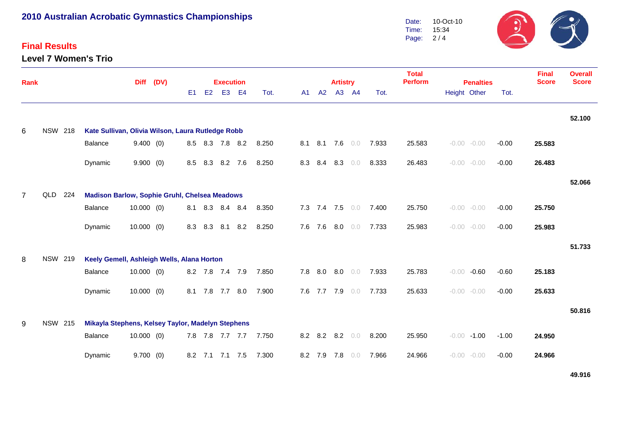#### **Final Results**

**Level 7 Women's Trio**



| Rank           |                |     |                                                      | <b>Diff</b>  | (DV) |     |         | <b>Execution</b> |     |       | <b>Total</b><br><b>Perform</b><br><b>Artistry</b><br><b>Penalties</b> |                 |  |    |                 |       |        |              |                |         |              | <b>Overall</b><br><b>Score</b> |
|----------------|----------------|-----|------------------------------------------------------|--------------|------|-----|---------|------------------|-----|-------|-----------------------------------------------------------------------|-----------------|--|----|-----------------|-------|--------|--------------|----------------|---------|--------------|--------------------------------|
|                |                |     |                                                      |              |      | E1  | E2      | E <sub>3</sub>   | E4  | Tot.  | A1                                                                    | A2              |  | A3 | AA              | Tot.  |        | Height Other |                | Tot.    | <b>Score</b> |                                |
|                |                |     |                                                      |              |      |     |         |                  |     |       |                                                                       |                 |  |    |                 |       |        |              |                |         |              | 52.100                         |
| 6              | <b>NSW 218</b> |     | Kate Sullivan, Olivia Wilson, Laura Rutledge Robb    |              |      |     |         |                  |     |       |                                                                       |                 |  |    |                 |       |        |              |                |         |              |                                |
|                |                |     | Balance                                              | 9.400(0)     |      |     |         | 8.5 8.3 7.8 8.2  |     | 8.250 | 8.1                                                                   |                 |  |    | 8.1 7.6 0.0     | 7.933 | 25.583 |              | $-0.00 - 0.00$ | $-0.00$ | 25.583       |                                |
|                |                |     | Dynamic                                              | 9.900(0)     |      | 8.5 | 8.3     | 8.2 7.6          |     | 8.250 |                                                                       | 8.3 8.4         |  |    | $8.3 \t 0.0$    | 8.333 | 26.483 |              | $-0.00 - 0.00$ | $-0.00$ | 26.483       |                                |
|                |                |     |                                                      |              |      |     |         |                  |     |       |                                                                       |                 |  |    |                 |       |        |              |                |         |              | 52.066                         |
| $\overline{7}$ | QLD            | 224 | <b>Madison Barlow, Sophie Gruhl, Chelsea Meadows</b> |              |      |     |         |                  |     |       |                                                                       |                 |  |    |                 |       |        |              |                |         |              |                                |
|                |                |     | Balance                                              | $10.000$ (0) |      |     | 8.1 8.3 | 8.4 8.4          |     | 8.350 |                                                                       |                 |  |    | 7.3 7.4 7.5 0.0 | 7.400 | 25.750 |              | $-0.00 - 0.00$ | $-0.00$ | 25.750       |                                |
|                |                |     | Dynamic                                              | $10.000$ (0) |      | 8.3 | 8.3     | 8.1              | 8.2 | 8.250 |                                                                       | 7.6 7.6         |  |    | $8.0\quad 0.0$  | 7.733 | 25.983 |              | $-0.00 - 0.00$ | $-0.00$ | 25.983       |                                |
|                |                |     |                                                      |              |      |     |         |                  |     |       |                                                                       |                 |  |    |                 |       |        |              |                |         |              | 51.733                         |
| 8              | <b>NSW 219</b> |     | Keely Gemell, Ashleigh Wells, Alana Horton           |              |      |     |         |                  |     |       |                                                                       |                 |  |    |                 |       |        |              |                |         |              |                                |
|                |                |     | Balance                                              | $10.000$ (0) |      |     |         | 8.2 7.8 7.4 7.9  |     | 7.850 |                                                                       |                 |  |    | 7.8 8.0 8.0 0.0 | 7.933 | 25.783 |              | $-0.00 - 0.60$ | $-0.60$ | 25.183       |                                |
|                |                |     | Dynamic                                              | $10.000$ (0) |      |     |         | 8.1 7.8 7.7 8.0  |     | 7.900 |                                                                       | 7.6 7.7 7.9 0.0 |  |    |                 | 7.733 | 25.633 |              | $-0.00 - 0.00$ | $-0.00$ | 25.633       |                                |
|                |                |     |                                                      |              |      |     |         |                  |     |       |                                                                       |                 |  |    |                 |       |        |              |                |         |              | 50.816                         |
| 9              | <b>NSW 215</b> |     | Mikayla Stephens, Kelsey Taylor, Madelyn Stephens    |              |      |     |         |                  |     |       |                                                                       |                 |  |    |                 |       |        |              |                |         |              |                                |
|                |                |     | Balance                                              | $10.000$ (0) |      |     |         | 7.8 7.8 7.7 7.7  |     | 7.750 |                                                                       | 8.2 8.2 8.2 0.0 |  |    |                 | 8.200 | 25.950 |              | $-0.00 - 1.00$ | $-1.00$ | 24.950       |                                |
|                |                |     | Dynamic                                              | 9.700(0)     |      |     |         | 8.2 7.1 7.1 7.5  |     | 7.300 |                                                                       | 8.2 7.9 7.8 0.0 |  |    |                 | 7.966 | 24.966 |              | $-0.00 - 0.00$ | $-0.00$ | 24.966       |                                |

**49.916**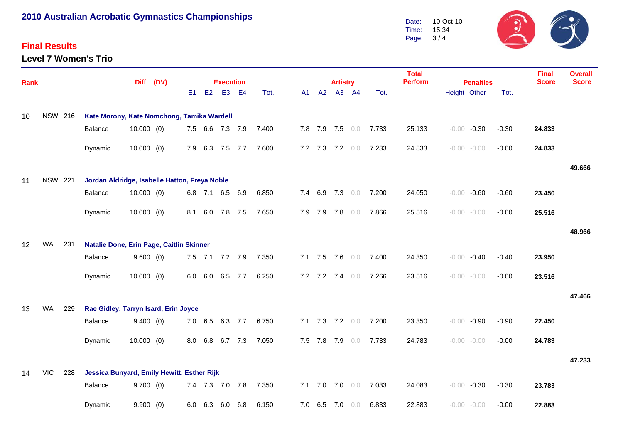#### **Final Results**

**Level 7 Women's Trio**



| <b>Rank</b>     |                |                |                                               |              | Diff (DV) |     |                | <b>Execution</b> |           |       |         | <b>Artistry</b> |         |       | <b>Total</b><br><b>Perform</b> | <b>Penalties</b> |                |         | <b>Final</b><br><b>Score</b> | <b>Overall</b><br><b>Score</b> |
|-----------------|----------------|----------------|-----------------------------------------------|--------------|-----------|-----|----------------|------------------|-----------|-------|---------|-----------------|---------|-------|--------------------------------|------------------|----------------|---------|------------------------------|--------------------------------|
|                 |                |                |                                               |              |           | E1  | E <sub>2</sub> | E <sub>3</sub>   | <b>E4</b> | Tot.  | A1 A2   |                 | A3 A4   | Tot.  |                                |                  | Height Other   | Tot.    |                              |                                |
| 10              |                | <b>NSW 216</b> | Kate Morony, Kate Nomchong, Tamika Wardell    |              |           |     |                |                  |           |       |         |                 |         |       |                                |                  |                |         |                              |                                |
|                 |                |                | Balance                                       | $10.000$ (0) |           |     |                | 7.5 6.6 7.3 7.9  |           | 7.400 |         | 7.8 7.9 7.5 0.0 |         | 7.733 | 25.133                         |                  | $-0.00 -0.30$  | $-0.30$ | 24.833                       |                                |
|                 |                |                | Dynamic                                       | 10.000(0)    |           |     |                | 7.9 6.3 7.5 7.7  |           | 7.600 |         | 7.2 7.3 7.2 0.0 |         | 7.233 | 24.833                         |                  | $-0.00 - 0.00$ | $-0.00$ | 24.833                       |                                |
|                 |                |                |                                               |              |           |     |                |                  |           |       |         |                 |         |       |                                |                  |                |         |                              | 49.666                         |
| 11              | <b>NSW 221</b> |                | Jordan Aldridge, Isabelle Hatton, Freya Noble |              |           |     |                |                  |           |       |         |                 |         |       |                                |                  |                |         |                              |                                |
|                 |                |                | Balance                                       | $10.000$ (0) |           |     |                | 6.8 7.1 6.5 6.9  |           | 6.850 |         | 7.4 6.9 7.3 0.0 |         | 7.200 | 24.050                         |                  | $-0.00 - 0.60$ | $-0.60$ | 23.450                       |                                |
|                 |                |                | Dynamic                                       | $10.000$ (0) |           |     |                | 8.1 6.0 7.8 7.5  |           | 7.650 | 7.9 7.9 |                 | 7.8 0.0 | 7.866 | 25.516                         |                  | $-0.00 - 0.00$ | $-0.00$ | 25.516                       |                                |
|                 |                |                |                                               |              |           |     |                |                  |           |       |         |                 |         |       |                                |                  |                |         |                              | 48.966                         |
| 12 <sup>2</sup> | WA             | 231            | Natalie Done, Erin Page, Caitlin Skinner      |              |           |     |                |                  |           |       |         |                 |         |       |                                |                  |                |         |                              |                                |
|                 |                |                | Balance                                       | 9.600(0)     |           |     |                | 7.5 7.1 7.2 7.9  |           | 7.350 |         | 7.1 7.5 7.6 0.0 |         | 7.400 | 24.350                         |                  | $-0.00 -0.40$  | $-0.40$ | 23.950                       |                                |
|                 |                |                | Dynamic                                       | 10.000(0)    |           | 6.0 | 6.0            | 6.5              | 7.7       | 6.250 |         | 7.2 7.2 7.4 0.0 |         | 7.266 | 23.516                         |                  | $-0.00 - 0.00$ | $-0.00$ | 23.516                       |                                |
|                 |                |                |                                               |              |           |     |                |                  |           |       |         |                 |         |       |                                |                  |                |         |                              | 47.466                         |
| 13              | <b>WA</b>      | 229            | Rae Gidley, Tarryn Isard, Erin Joyce          |              |           |     |                |                  |           |       |         |                 |         |       |                                |                  |                |         |                              |                                |
|                 |                |                | <b>Balance</b>                                | 9.400(0)     |           |     |                | 7.0 6.5 6.3 7.7  |           | 6.750 |         | 7.1 7.3 7.2 0.0 |         | 7.200 | 23.350                         |                  | $-0.00 -0.90$  | $-0.90$ | 22.450                       |                                |
|                 |                |                | Dynamic                                       | $10.000$ (0) |           | 8.0 | 6.8            | 6.7 7.3          |           | 7.050 | 7.5 7.8 | 7.9             | 0.0     | 7.733 | 24.783                         |                  | $-0.00 - 0.00$ | $-0.00$ | 24.783                       |                                |
|                 |                |                |                                               |              |           |     |                |                  |           |       |         |                 |         |       |                                |                  |                |         |                              | 47.233                         |
| 14              | <b>VIC</b>     | 228            | Jessica Bunyard, Emily Hewitt, Esther Rijk    |              |           |     |                |                  |           |       |         |                 |         |       |                                |                  |                |         |                              |                                |
|                 |                |                | Balance                                       | 9.700(0)     |           |     |                | 7.4 7.3 7.0 7.8  |           | 7.350 |         | 7.1 7.0 7.0 0.0 |         | 7.033 | 24.083                         |                  | $-0.00 -0.30$  | $-0.30$ | 23.783                       |                                |
|                 |                |                | Dynamic                                       | 9.900(0)     |           | 6.0 | 6.3            | 6.0              | 6.8       | 6.150 |         | 7.0 6.5 7.0     | 0.0     | 6.833 | 22.883                         |                  | $-0.00 - 0.00$ | $-0.00$ | 22.883                       |                                |